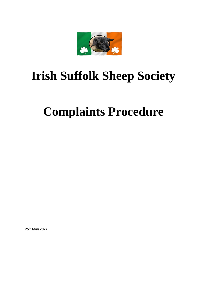

## **Irish Suffolk Sheep Society**

## **Complaints Procedure**

**25th May 2022**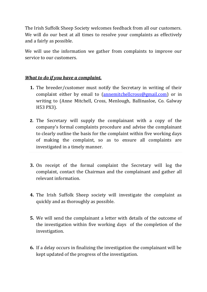The Irish Suffolk Sheep Society welcomes feedback from all our customers. We will do our best at all times to resolve your complaints as effectively and a fairly as possible.

We will use the information we gather from complaints to improve our service to our customers.

## *What to do if you have a complaint.*

- **1.** The breeder/customer must notify the Secretary in writing of their complaint either by email to [\(annemitchellcross@gmail.com\)](mailto:annemitchellcross@gmail.com) or in writing to (Anne Mitchell, Cross, Menlough, Ballinasloe, Co. Galway H53 PX3).
- **2.** The Secretary will supply the complainant with a copy of the company's formal complaints procedure and advise the complainant to clearly outline the basis for the complaint within five working days of making the complaint, so as to ensure all complaints are investigated in a timely manner.
- **3.** On receipt of the formal complaint the Secretary will log the complaint, contact the Chairman and the complainant and gather all relevant information.
- **4.** The Irish Suffolk Sheep society will investigate the complaint as quickly and as thoroughly as possible.
- **5.** We will send the complainant a letter with details of the outcome of the investigation within five working days of the completion of the investigation.
- **6.** If a delay occurs in finalizing the investigation the complainant will be kept updated of the progress of the investigation.